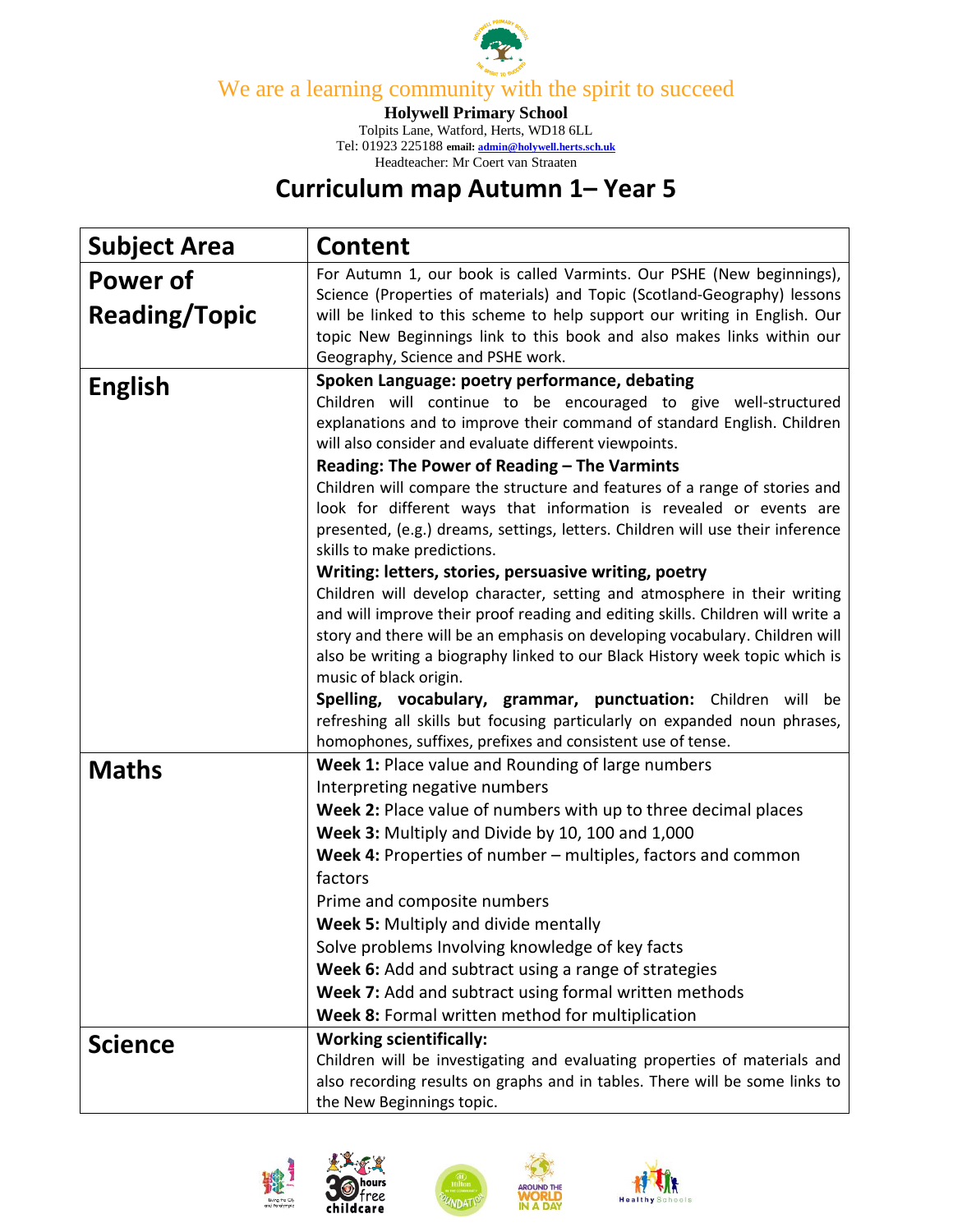

We are a learning community with the spirit to succeed

**Holywell Primary School**

Tolpits Lane, Watford, Herts, WD18 6LL Tel: 01923 225188 **email[: admin@holywell.herts.sch.uk](mailto:admin@holywell.herts.sch.uk)** Headteacher: Mr Coert van Straaten

## **Curriculum map Autumn 1– Year 5**

| <b>Subject Area</b>              | <b>Content</b>                                                                                                                                                                                                                                                                                                                                                                                                                                                                                                                                                                                                                                                                                                                                                                                                                                                                                                                                                                                                                                           |
|----------------------------------|----------------------------------------------------------------------------------------------------------------------------------------------------------------------------------------------------------------------------------------------------------------------------------------------------------------------------------------------------------------------------------------------------------------------------------------------------------------------------------------------------------------------------------------------------------------------------------------------------------------------------------------------------------------------------------------------------------------------------------------------------------------------------------------------------------------------------------------------------------------------------------------------------------------------------------------------------------------------------------------------------------------------------------------------------------|
| Power of<br><b>Reading/Topic</b> | For Autumn 1, our book is called Varmints. Our PSHE (New beginnings),<br>Science (Properties of materials) and Topic (Scotland-Geography) lessons<br>will be linked to this scheme to help support our writing in English. Our<br>topic New Beginnings link to this book and also makes links within our<br>Geography, Science and PSHE work.                                                                                                                                                                                                                                                                                                                                                                                                                                                                                                                                                                                                                                                                                                            |
| <b>English</b>                   | Spoken Language: poetry performance, debating<br>Children will continue to be encouraged to give well-structured<br>explanations and to improve their command of standard English. Children<br>will also consider and evaluate different viewpoints.<br>Reading: The Power of Reading - The Varmints<br>Children will compare the structure and features of a range of stories and<br>look for different ways that information is revealed or events are<br>presented, (e.g.) dreams, settings, letters. Children will use their inference<br>skills to make predictions.<br>Writing: letters, stories, persuasive writing, poetry<br>Children will develop character, setting and atmosphere in their writing<br>and will improve their proof reading and editing skills. Children will write a<br>story and there will be an emphasis on developing vocabulary. Children will<br>also be writing a biography linked to our Black History week topic which is<br>music of black origin.<br>Spelling, vocabulary, grammar, punctuation: Children will be |
|                                  | refreshing all skills but focusing particularly on expanded noun phrases,<br>homophones, suffixes, prefixes and consistent use of tense.                                                                                                                                                                                                                                                                                                                                                                                                                                                                                                                                                                                                                                                                                                                                                                                                                                                                                                                 |
| <b>Maths</b>                     | Week 1: Place value and Rounding of large numbers<br>Interpreting negative numbers<br>Week 2: Place value of numbers with up to three decimal places<br>Week 3: Multiply and Divide by 10, 100 and 1,000<br>Week 4: Properties of number – multiples, factors and common<br>factors<br>Prime and composite numbers<br>Week 5: Multiply and divide mentally<br>Solve problems Involving knowledge of key facts<br>Week 6: Add and subtract using a range of strategies<br>Week 7: Add and subtract using formal written methods<br>Week 8: Formal written method for multiplication                                                                                                                                                                                                                                                                                                                                                                                                                                                                       |
| Science                          | <b>Working scientifically:</b><br>Children will be investigating and evaluating properties of materials and<br>also recording results on graphs and in tables. There will be some links to<br>the New Beginnings topic.                                                                                                                                                                                                                                                                                                                                                                                                                                                                                                                                                                                                                                                                                                                                                                                                                                  |





ee.